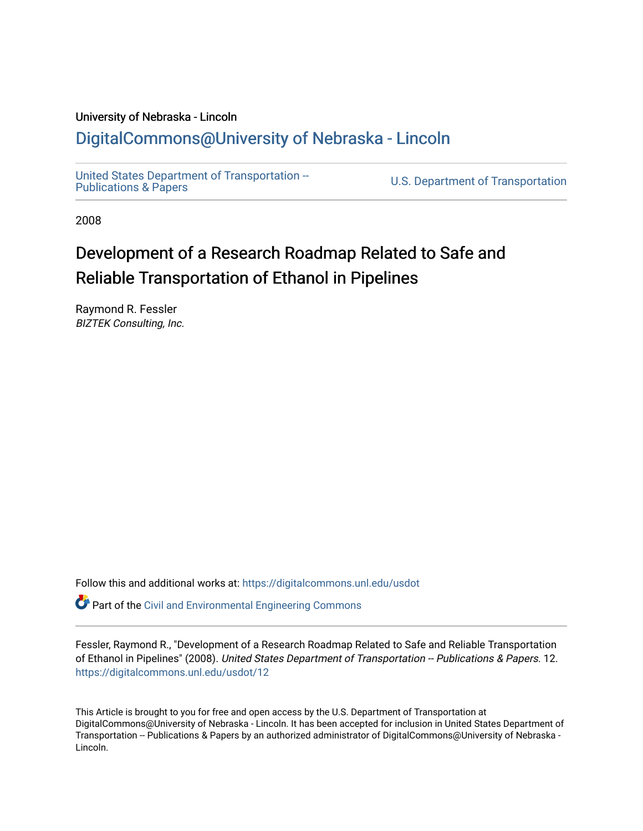#### University of Nebraska - Lincoln [DigitalCommons@University of Nebraska - Lincoln](https://digitalcommons.unl.edu/)

[United States Department of Transportation --](https://digitalcommons.unl.edu/usdot)<br>Publications & Papers

U.S. Department of Transportation

2008

#### Development of a Research Roadmap Related to Safe and Reliable Transportation of Ethanol in Pipelines

Raymond R. Fessler BIZTEK Consulting, Inc.

Follow this and additional works at: [https://digitalcommons.unl.edu/usdot](https://digitalcommons.unl.edu/usdot?utm_source=digitalcommons.unl.edu%2Fusdot%2F12&utm_medium=PDF&utm_campaign=PDFCoverPages) 

Part of the [Civil and Environmental Engineering Commons](http://network.bepress.com/hgg/discipline/251?utm_source=digitalcommons.unl.edu%2Fusdot%2F12&utm_medium=PDF&utm_campaign=PDFCoverPages)

Fessler, Raymond R., "Development of a Research Roadmap Related to Safe and Reliable Transportation of Ethanol in Pipelines" (2008). United States Department of Transportation -- Publications & Papers. 12. [https://digitalcommons.unl.edu/usdot/12](https://digitalcommons.unl.edu/usdot/12?utm_source=digitalcommons.unl.edu%2Fusdot%2F12&utm_medium=PDF&utm_campaign=PDFCoverPages)

This Article is brought to you for free and open access by the U.S. Department of Transportation at DigitalCommons@University of Nebraska - Lincoln. It has been accepted for inclusion in United States Department of Transportation -- Publications & Papers by an authorized administrator of DigitalCommons@University of Nebraska -Lincoln.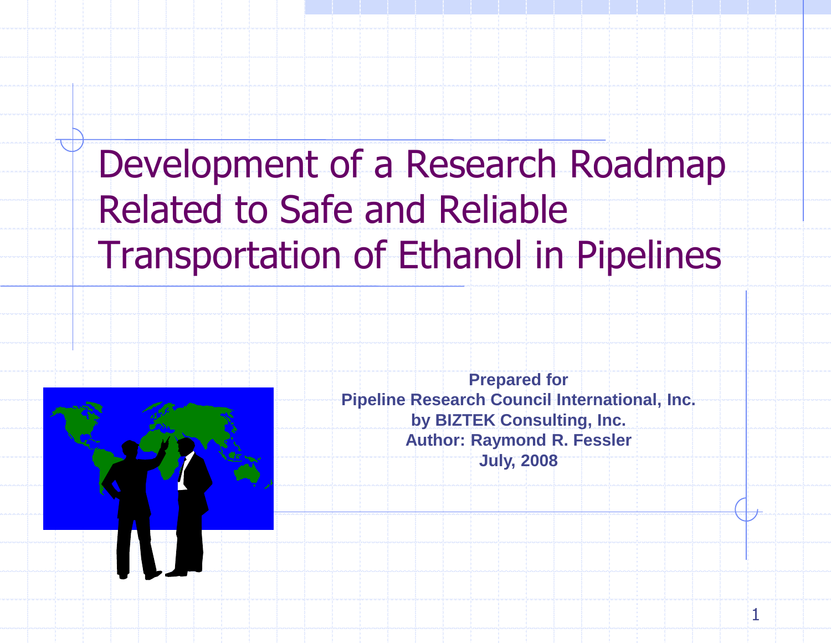## Development of a Research Roadmap Related to Safe and Reliable Transportation of Ethanol in Pipelines



**Prepared for Pipeline Research Council International, Inc. by BIZTEK Consulting, Inc. Author: Raymond R. Fessler July, 2008**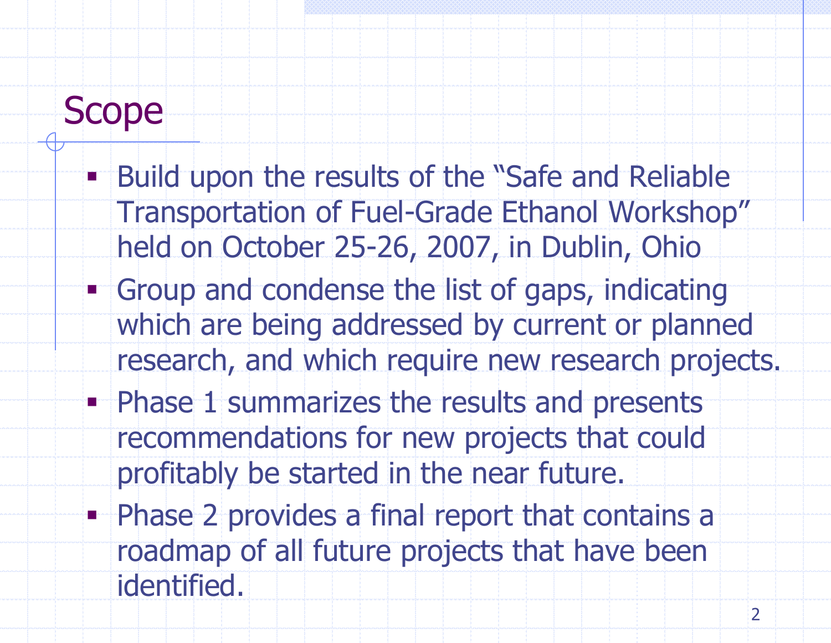### Scope

- **Build upon the results of the "Safe and Reliable"** Transportation of Fuel-Grade Ethanol Workshop" held on October 25-26, 2007, in Dublin, Ohio
- **Group and condense the list of gaps, indicating** which are being addressed by current or planned research, and which require new research projects.
- **Phase 1 summarizes the results and presents** recommendations for new projects that could profitably be started in the near future.
- **Phase 2 provides a final report that contains a** roadmap of all future projects that have been identified.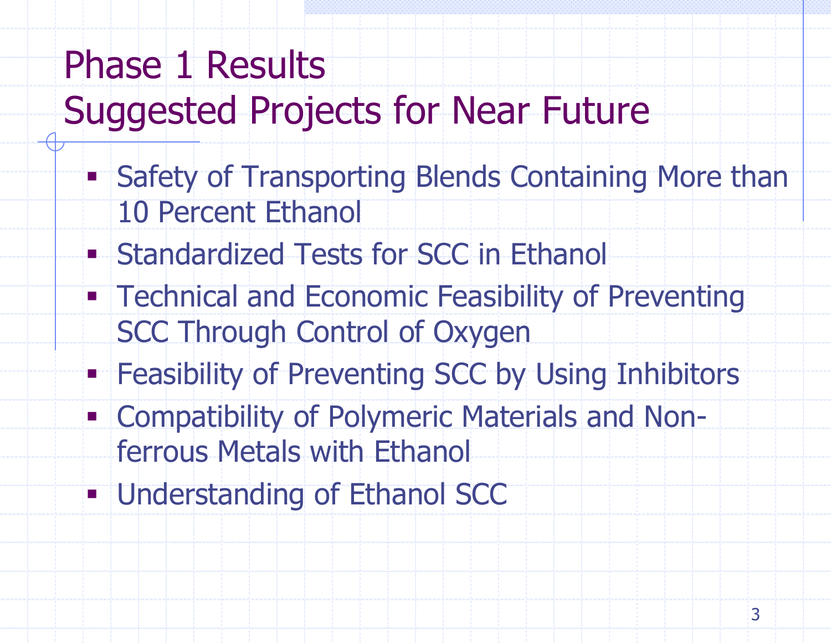# Phase 1 Results Suggested Projects for Near Future

- **Safety of Transporting Blends Containing More than** 10 Percent Ethanol
- **Standardized Tests for SCC in Ethanol**
- **Technical and Economic Feasibility of Preventing** SCC Through Control of Oxygen
- **Feasibility of Preventing SCC by Using Inhibitors**
- Compatibility of Polymeric Materials and Nonferrous Metals with Ethanol
- **Understanding of Ethanol SCC**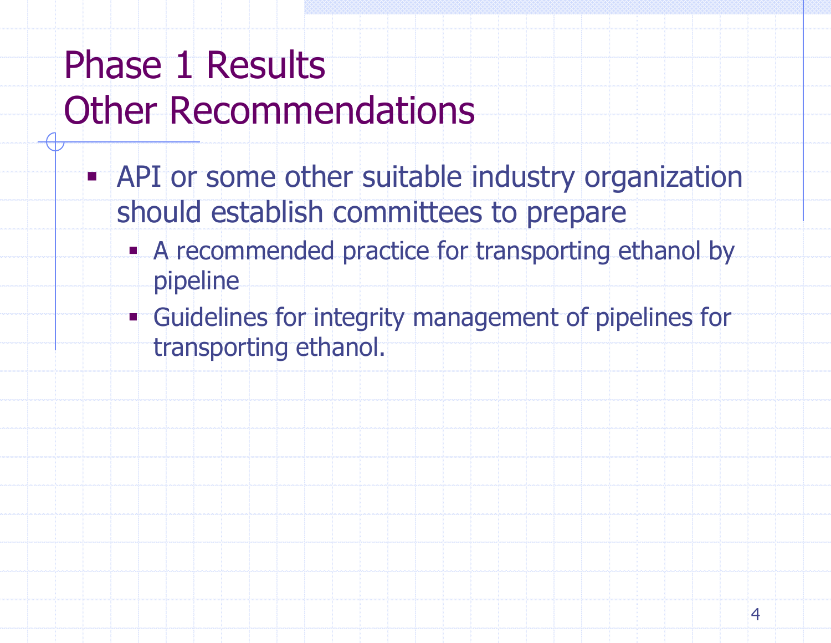### Phase 1 Results Other Recommendations

- **API** or some other suitable industry organization should establish committees to prepare
	- A recommended practice for transporting ethanol by pipeline
	- Guidelines for integrity management of pipelines for transporting ethanol.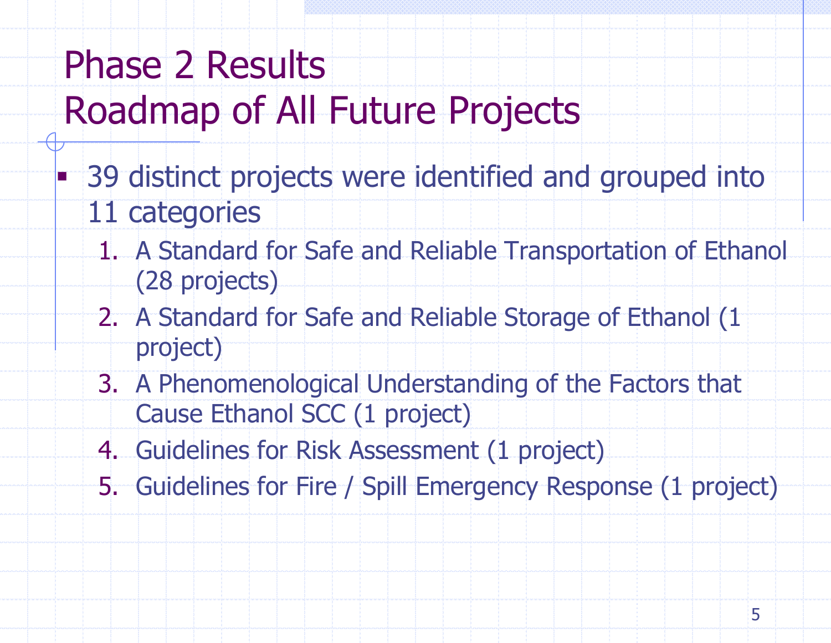## Phase 2 Results Roadmap of All Future Projects

- **39 distinct projects were identified and grouped into** 11 categories
	- 1. A Standard for Safe and Reliable Transportation of Ethanol (28 projects)
	- 2. A Standard for Safe and Reliable Storage of Ethanol (1 project)
	- 3. A Phenomenological Understanding of the Factors that Cause Ethanol SCC (1 project)
	- 4. Guidelines for Risk Assessment (1 project)
	- 5. Guidelines for Fire / Spill Emergency Response (1 project)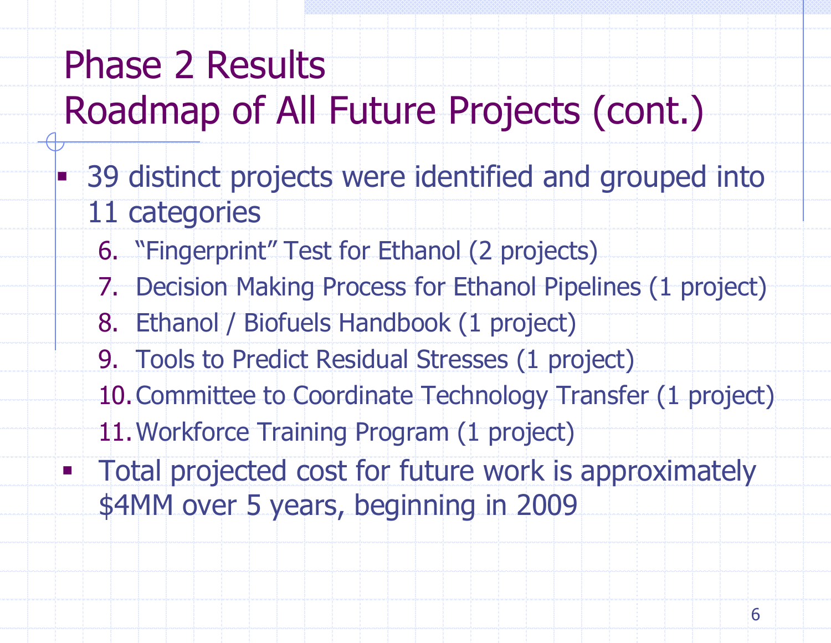# Phase 2 Results Roadmap of All Future Projects (cont.)

- **BED 39 distinct projects were identified and grouped into** 11 categories
	- 6. "Fingerprint" Test for Ethanol (2 projects)
	- 7. Decision Making Process for Ethanol Pipelines (1 project)
	- 8. Ethanol / Biofuels Handbook (1 project)
	- 9. Tools to Predict Residual Stresses (1 project)
	- 10.Committee to Coordinate Technology Transfer (1 project)
	- 11.Workforce Training Program (1 project)
- **Total projected cost for future work is approximately** \$4MM over 5 years, beginning in 2009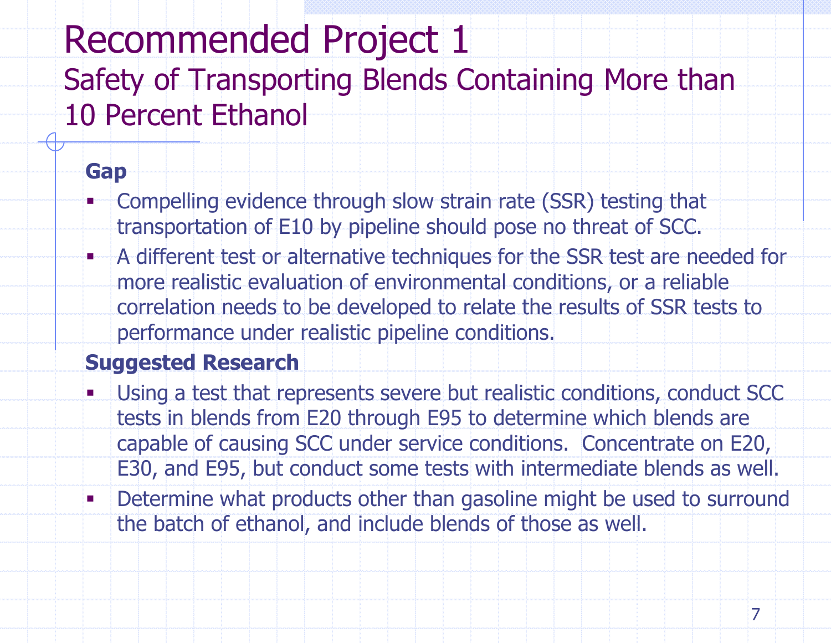### Recommended Project 1 Safety of Transporting Blends Containing More than 10 Percent Ethanol

#### **Gap**

- Compelling evidence through slow strain rate (SSR) testing that transportation of E10 by pipeline should pose no threat of SCC.
- **A different test or alternative techniques for the SSR test are needed for** more realistic evaluation of environmental conditions, or a reliable correlation needs to be developed to relate the results of SSR tests to performance under realistic pipeline conditions.

- Using a test that represents severe but realistic conditions, conduct SCC tests in blends from E20 through E95 to determine which blends are capable of causing SCC under service conditions. Concentrate on E20, E30, and E95, but conduct some tests with intermediate blends as well.
- **Determine what products other than gasoline might be used to surround** the batch of ethanol, and include blends of those as well.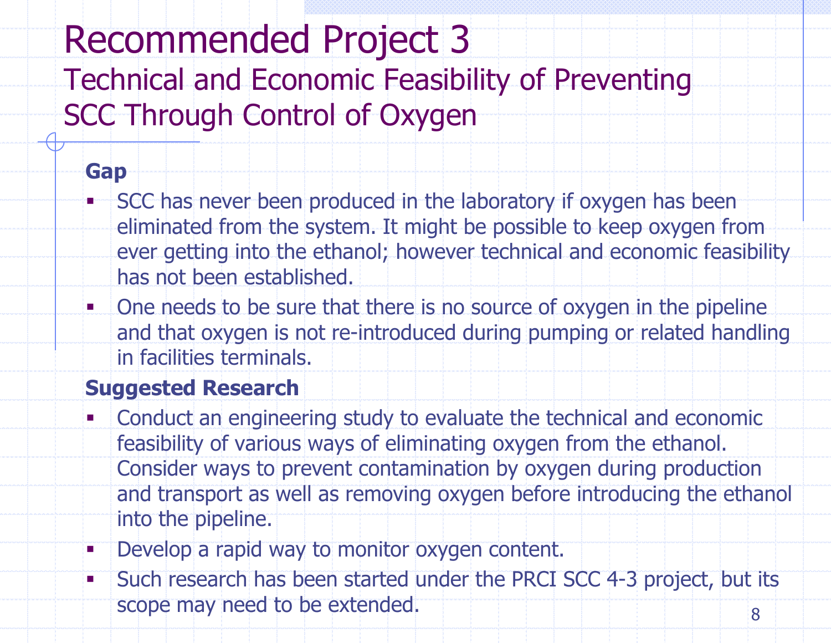# Recommended Project 3

Technical and Economic Feasibility of Preventing SCC Through Control of Oxygen

#### **Gap**

- SCC has never been produced in the laboratory if oxygen has been eliminated from the system. It might be possible to keep oxygen from ever getting into the ethanol; however technical and economic feasibility has not been established.
- **. One needs to be sure that there is no source of oxygen in the pipeline** and that oxygen is not re-introduced during pumping or related handling in facilities terminals.

- Conduct an engineering study to evaluate the technical and economic feasibility of various ways of eliminating oxygen from the ethanol. Consider ways to prevent contamination by oxygen during production and transport as well as removing oxygen before introducing the ethanol into the pipeline.
- **Develop a rapid way to monitor oxygen content.**
- **Such research has been started under the PRCI SCC 4-3 project, but its** scope may need to be extended. An all the scope may need to be extended.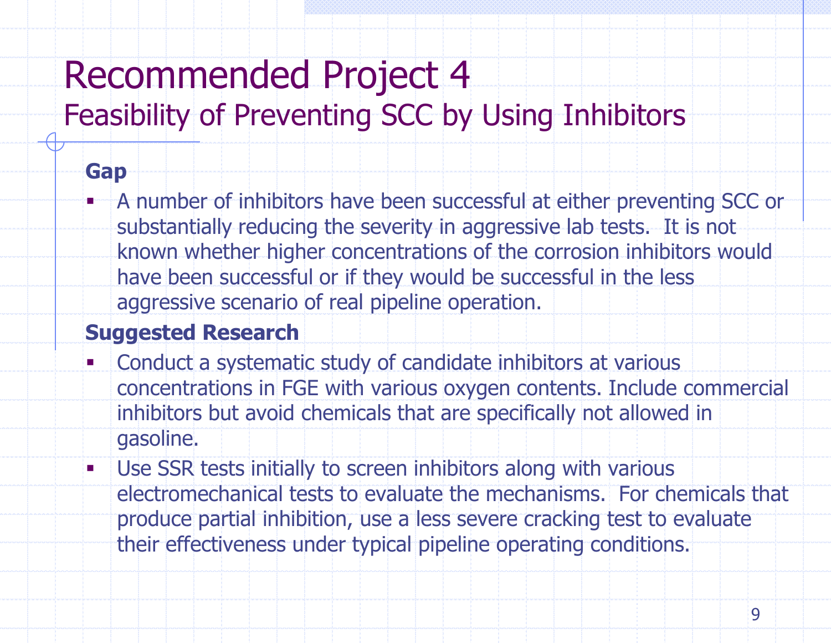### Recommended Project 4 Feasibility of Preventing SCC by Using Inhibitors

#### **Gap**

 A number of inhibitors have been successful at either preventing SCC or substantially reducing the severity in aggressive lab tests. It is not known whether higher concentrations of the corrosion inhibitors would have been successful or if they would be successful in the less aggressive scenario of real pipeline operation.

- Conduct a systematic study of candidate inhibitors at various concentrations in FGE with various oxygen contents. Include commercial inhibitors but avoid chemicals that are specifically not allowed in gasoline.
- **Use SSR tests initially to screen inhibitors along with various** electromechanical tests to evaluate the mechanisms. For chemicals that produce partial inhibition, use a less severe cracking test to evaluate their effectiveness under typical pipeline operating conditions.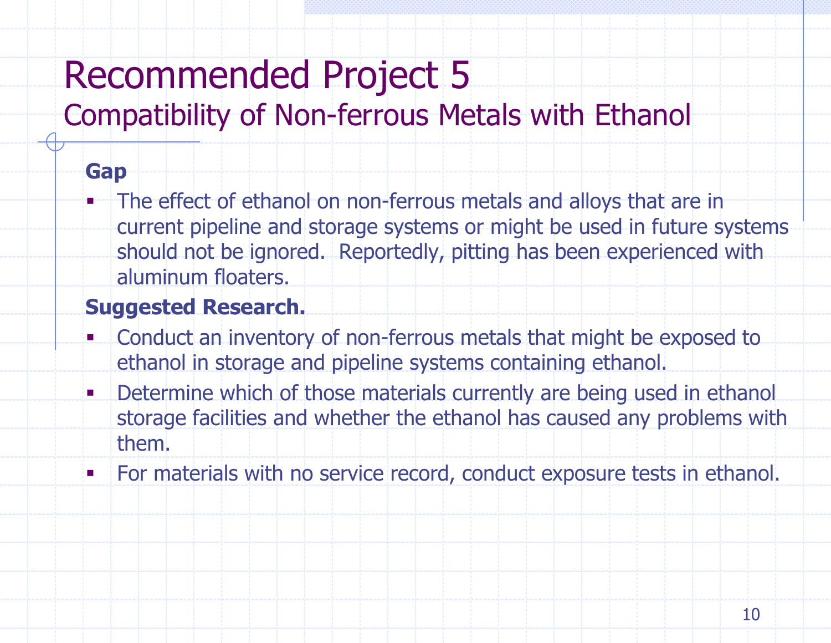### Recommended Project 5

### Compatibility of Non-ferrous Metals with Ethanol

#### **Gap**

 The effect of ethanol on non-ferrous metals and alloys that are in current pipeline and storage systems or might be used in future systems should not be ignored. Reportedly, pitting has been experienced with aluminum floaters.

- Conduct an inventory of non-ferrous metals that might be exposed to ethanol in storage and pipeline systems containing ethanol.
- **Determine which of those materials currently are being used in ethanol** storage facilities and whether the ethanol has caused any problems with them.
- For materials with no service record, conduct exposure tests in ethanol.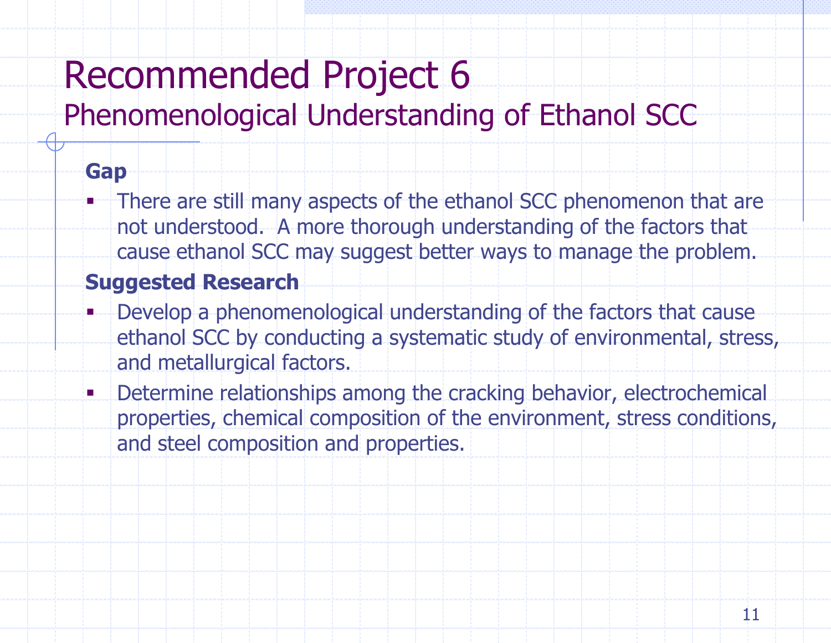# Recommended Project 6

### Phenomenological Understanding of Ethanol SCC

#### **Gap**

 There are still many aspects of the ethanol SCC phenomenon that are not understood. A more thorough understanding of the factors that cause ethanol SCC may suggest better ways to manage the problem.

- Develop a phenomenological understanding of the factors that cause ethanol SCC by conducting a systematic study of environmental, stress, and metallurgical factors.
- **Determine relationships among the cracking behavior, electrochemical** properties, chemical composition of the environment, stress conditions, and steel composition and properties.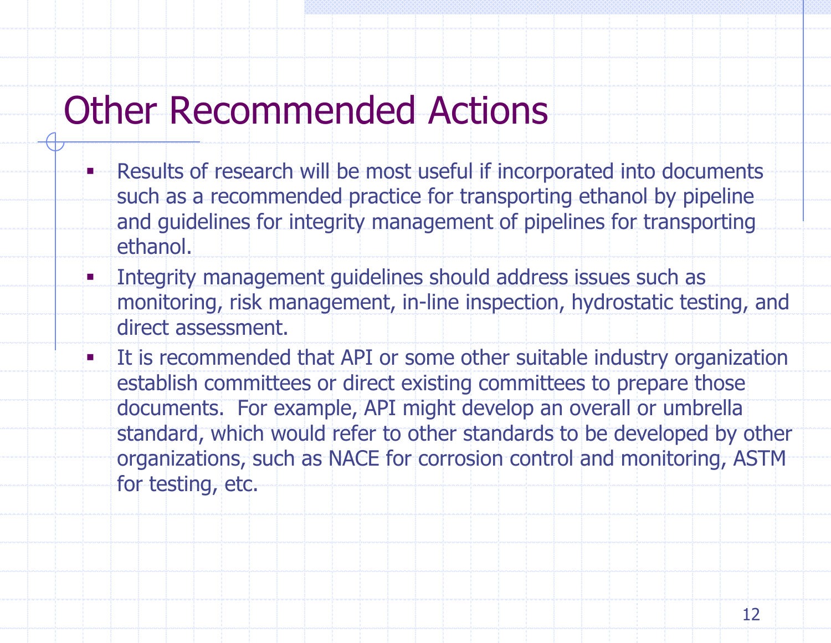### Other Recommended Actions

- Results of research will be most useful if incorporated into documents such as a recommended practice for transporting ethanol by pipeline and guidelines for integrity management of pipelines for transporting ethanol.
- **Integrity management guidelines should address issues such as** monitoring, risk management, in-line inspection, hydrostatic testing, and direct assessment.
- It is recommended that API or some other suitable industry organization establish committees or direct existing committees to prepare those documents. For example, API might develop an overall or umbrella standard, which would refer to other standards to be developed by other organizations, such as NACE for corrosion control and monitoring, ASTM for testing, etc.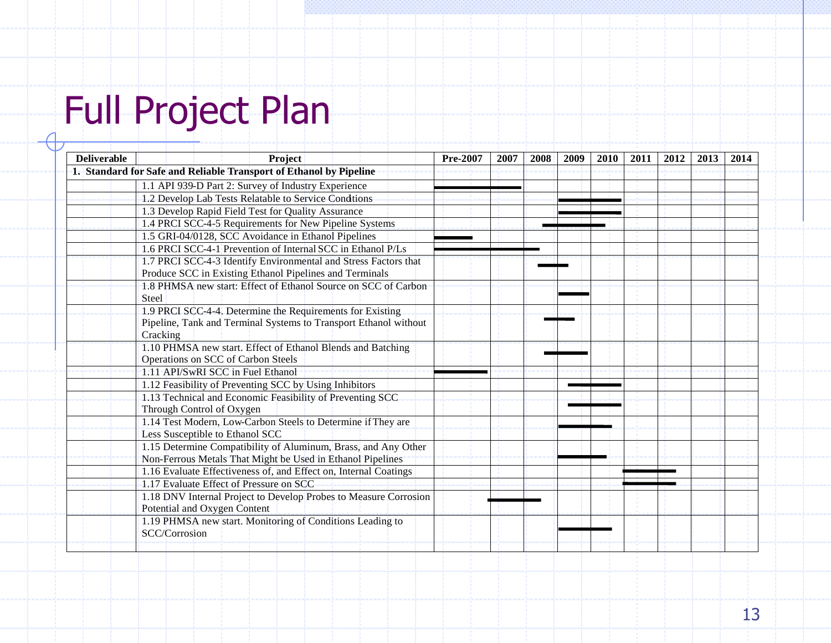# Full Project Plan

| <b>Deliverable</b> | <b>Project</b>                                                     | Pre-2007 | 2007 | 2008 | 2009 | <b>2010</b> | 2011 | 2012 | 2013 | 2014 |
|--------------------|--------------------------------------------------------------------|----------|------|------|------|-------------|------|------|------|------|
|                    | 1. Standard for Safe and Reliable Transport of Ethanol by Pipeline |          |      |      |      |             |      |      |      |      |
|                    | 1.1 API 939-D Part 2: Survey of Industry Experience                |          |      |      |      |             |      |      |      |      |
|                    | 1.2 Develop Lab Tests Relatable to Service Condtions               |          |      |      |      |             |      |      |      |      |
|                    | 1.3 Develop Rapid Field Test for Quality Assurance                 |          |      |      |      |             |      |      |      |      |
|                    | 1.4 PRCI SCC-4-5 Requirements for New Pipeline Systems             |          |      |      |      |             |      |      |      |      |
|                    | 1.5 GRI-04/0128, SCC Avoidance in Ethanol Pipelines                |          |      |      |      |             |      |      |      |      |
|                    | 1.6 PRCI SCC-4-1 Prevention of Internal SCC in Ethanol P/Ls        |          |      |      |      |             |      |      |      |      |
|                    | 1.7 PRCI SCC-4-3 Identify Environmental and Stress Factors that    |          |      |      |      |             |      |      |      |      |
|                    | Produce SCC in Existing Ethanol Pipelines and Terminals            |          |      |      |      |             |      |      |      |      |
|                    | 1.8 PHMSA new start: Effect of Ethanol Source on SCC of Carbon     |          |      |      |      |             |      |      |      |      |
|                    | <b>Steel</b>                                                       |          |      |      |      |             |      |      |      |      |
|                    | 1.9 PRCI SCC-4-4. Determine the Requirements for Existing          |          |      |      |      |             |      |      |      |      |
|                    | Pipeline, Tank and Terminal Systems to Transport Ethanol without   |          |      |      |      |             |      |      |      |      |
|                    | Cracking                                                           |          |      |      |      |             |      |      |      |      |
|                    | 1.10 PHMSA new start. Effect of Ethanol Blends and Batching        |          |      |      |      |             |      |      |      |      |
|                    | Operations on SCC of Carbon Steels                                 |          |      |      |      |             |      |      |      |      |
|                    | 1.11 API/SwRI SCC in Fuel Ethanol                                  |          |      |      |      |             |      |      |      |      |
|                    | 1.12 Feasibility of Preventing SCC by Using Inhibitors             |          |      |      |      |             |      |      |      |      |
|                    | 1.13 Technical and Economic Feasibility of Preventing SCC          |          |      |      |      |             |      |      |      |      |
|                    | Through Control of Oxygen                                          |          |      |      |      |             |      |      |      |      |
|                    | 1.14 Test Modern, Low-Carbon Steels to Determine if They are       |          |      |      |      |             |      |      |      |      |
|                    | Less Susceptible to Ethanol SCC                                    |          |      |      |      |             |      |      |      |      |
|                    | 1.15 Determine Compatibility of Aluminum, Brass, and Any Other     |          |      |      |      |             |      |      |      |      |
|                    | Non-Ferrous Metals That Might be Used in Ethanol Pipelines         |          |      |      |      |             |      |      |      |      |
|                    | 1.16 Evaluate Effectiveness of, and Effect on, Internal Coatings   |          |      |      |      |             |      |      |      |      |
|                    | 1.17 Evaluate Effect of Pressure on SCC                            |          |      |      |      |             |      |      |      |      |
|                    | 1.18 DNV Internal Project to Develop Probes to Measure Corrosion   |          |      |      |      |             |      |      |      |      |
|                    | Potential and Oxygen Content                                       |          |      |      |      |             |      |      |      |      |
|                    | 1.19 PHMSA new start. Monitoring of Conditions Leading to          |          |      |      |      |             |      |      |      |      |
|                    | SCC/Corrosion                                                      |          |      |      |      |             |      |      |      |      |
|                    |                                                                    |          |      |      |      |             |      |      |      |      |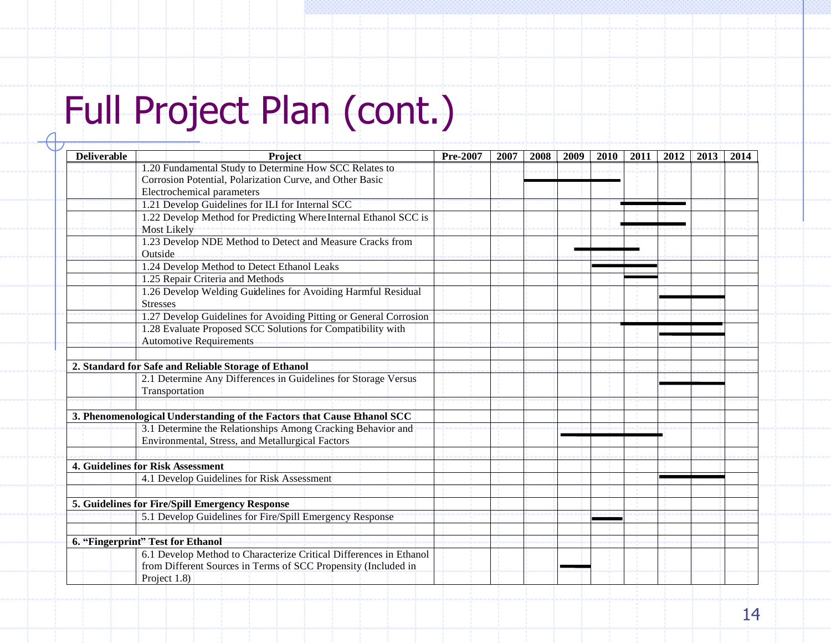# Full Project Plan (cont.)

|                                                                         |                                                                                                                                                                                                                                        |  | 2009 | 2010 | 2011 | 2012 | 2013 | 2014 |
|-------------------------------------------------------------------------|----------------------------------------------------------------------------------------------------------------------------------------------------------------------------------------------------------------------------------------|--|------|------|------|------|------|------|
| 1.20 Fundamental Study to Determine How SCC Relates to                  |                                                                                                                                                                                                                                        |  |      |      |      |      |      |      |
| Corrosion Potential, Polarization Curve, and Other Basic                |                                                                                                                                                                                                                                        |  |      |      |      |      |      |      |
| <b>Electrochemical parameters</b>                                       |                                                                                                                                                                                                                                        |  |      |      |      |      |      |      |
| 1.21 Develop Guidelines for ILI for Internal SCC                        |                                                                                                                                                                                                                                        |  |      |      |      |      |      |      |
| 1.22 Develop Method for Predicting Where Internal Ethanol SCC is        |                                                                                                                                                                                                                                        |  |      |      |      |      |      |      |
| <b>Most Likely</b>                                                      |                                                                                                                                                                                                                                        |  |      |      |      |      |      |      |
|                                                                         |                                                                                                                                                                                                                                        |  |      |      |      |      |      |      |
| Outside                                                                 |                                                                                                                                                                                                                                        |  |      |      |      |      |      |      |
| 1.24 Develop Method to Detect Ethanol Leaks                             |                                                                                                                                                                                                                                        |  |      |      |      |      |      |      |
| 1.25 Repair Criteria and Methods                                        |                                                                                                                                                                                                                                        |  |      |      |      |      |      |      |
| 1.26 Develop Welding Guidelines for Avoiding Harmful Residual           |                                                                                                                                                                                                                                        |  |      |      |      |      |      |      |
| <b>Stresses</b>                                                         |                                                                                                                                                                                                                                        |  |      |      |      |      |      |      |
| 1.27 Develop Guidelines for Avoiding Pitting or General Corrosion       |                                                                                                                                                                                                                                        |  |      |      |      |      |      |      |
| 1.28 Evaluate Proposed SCC Solutions for Compatibility with             |                                                                                                                                                                                                                                        |  |      |      |      |      |      |      |
| <b>Automotive Requirements</b>                                          |                                                                                                                                                                                                                                        |  |      |      |      |      |      |      |
|                                                                         |                                                                                                                                                                                                                                        |  |      |      |      |      |      |      |
| 2. Standard for Safe and Reliable Storage of Ethanol                    |                                                                                                                                                                                                                                        |  |      |      |      |      |      |      |
|                                                                         |                                                                                                                                                                                                                                        |  |      |      |      |      |      |      |
| Transportation                                                          |                                                                                                                                                                                                                                        |  |      |      |      |      |      |      |
|                                                                         |                                                                                                                                                                                                                                        |  |      |      |      |      |      |      |
| 3. Phenomenological Understanding of the Factors that Cause Ethanol SCC |                                                                                                                                                                                                                                        |  |      |      |      |      |      |      |
|                                                                         |                                                                                                                                                                                                                                        |  |      |      |      |      |      |      |
| Environmental, Stress, and Metallurgical Factors                        |                                                                                                                                                                                                                                        |  |      |      |      |      |      |      |
|                                                                         |                                                                                                                                                                                                                                        |  |      |      |      |      |      |      |
|                                                                         |                                                                                                                                                                                                                                        |  |      |      |      |      |      |      |
| 4.1 Develop Guidelines for Risk Assessment                              |                                                                                                                                                                                                                                        |  |      |      |      |      |      |      |
|                                                                         |                                                                                                                                                                                                                                        |  |      |      |      |      |      |      |
| 5. Guidelines for Fire/Spill Emergency Response                         |                                                                                                                                                                                                                                        |  |      |      |      |      |      |      |
| 5.1 Develop Guidelines for Fire/Spill Emergency Response                |                                                                                                                                                                                                                                        |  |      |      |      |      |      |      |
|                                                                         |                                                                                                                                                                                                                                        |  |      |      |      |      |      |      |
| 6. "Fingerprint" Test for Ethanol                                       |                                                                                                                                                                                                                                        |  |      |      |      |      |      |      |
| 6.1 Develop Method to Characterize Critical Differences in Ethanol      |                                                                                                                                                                                                                                        |  |      |      |      |      |      |      |
| from Different Sources in Terms of SCC Propensity (Included in          |                                                                                                                                                                                                                                        |  |      |      |      |      |      |      |
| Project 1.8)                                                            |                                                                                                                                                                                                                                        |  |      |      |      |      |      |      |
|                                                                         | 1.23 Develop NDE Method to Detect and Measure Cracks from<br>2.1 Determine Any Differences in Guidelines for Storage Versus<br>3.1 Determine the Relationships Among Cracking Behavior and<br><b>4. Guidelines for Risk Assessment</b> |  |      |      |      |      |      |      |